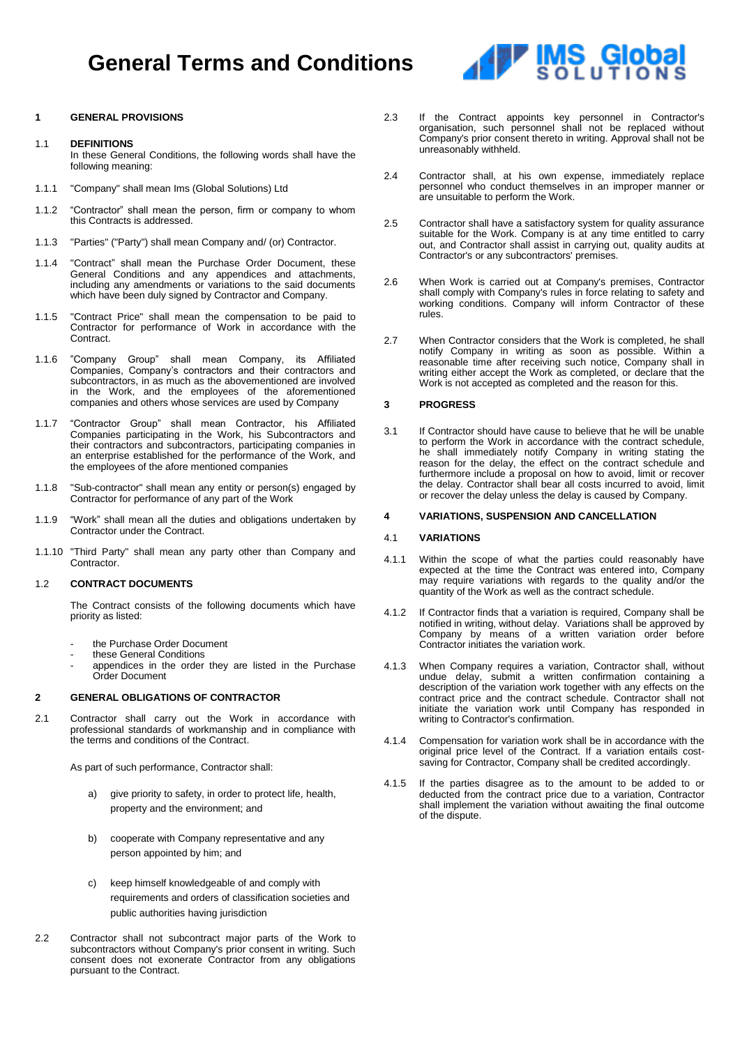# **General Terms and Conditions**

### **1 GENERAL PROVISIONS**

#### 1.1 **DEFINITIONS**

In these General Conditions, the following words shall have the following meaning:

- 1.1.1 "Company" shall mean Ims (Global Solutions) Ltd
- 1.1.2 "Contractor" shall mean the person, firm or company to whom this Contracts is addressed.
- 1.1.3 "Parties" ("Party") shall mean Company and/ (or) Contractor.
- 1.1.4 "Contract" shall mean the Purchase Order Document, these General Conditions and any appendices and attachments, including any amendments or variations to the said documents which have been duly signed by Contractor and Company.
- 1.1.5 "Contract Price" shall mean the compensation to be paid to Contractor for performance of Work in accordance with the Contract.
- 1.1.6 "Company Group" shall mean Company, its Affiliated Companies, Company's contractors and their contractors and subcontractors, in as much as the abovementioned are involved in the Work, and the employees of the aforementioned companies and others whose services are used by Company
- 1.1.7 "Contractor Group" shall mean Contractor, his Affiliated Companies participating in the Work, his Subcontractors and their contractors and subcontractors, participating companies in an enterprise established for the performance of the Work, and the employees of the afore mentioned companies
- 1.1.8 "Sub-contractor" shall mean any entity or person(s) engaged by Contractor for performance of any part of the Work
- 1.1.9 "Work" shall mean all the duties and obligations undertaken by Contractor under the Contract.
- 1.1.10 "Third Party" shall mean any party other than Company and Contractor.

# 1.2 **CONTRACT DOCUMENTS**

The Contract consists of the following documents which have priority as listed:

- the Purchase Order Document
- these General Conditions
- appendices in the order they are listed in the Purchase Order Document

#### **2 GENERAL OBLIGATIONS OF CONTRACTOR**

2.1 Contractor shall carry out the Work in accordance with professional standards of workmanship and in compliance with the terms and conditions of the Contract.

As part of such performance, Contractor shall:

- a) give priority to safety, in order to protect life, health, property and the environment; and
- b) cooperate with Company representative and any person appointed by him; and
- c) keep himself knowledgeable of and comply with requirements and orders of classification societies and public authorities having jurisdiction
- 2.2 Contractor shall not subcontract major parts of the Work to subcontractors without Company's prior consent in writing. Such consent does not exonerate Contractor from any obligations pursuant to the Contract.
- 2.3 If the Contract appoints key personnel in Contractor's organisation, such personnel shall not be replaced without Company's prior consent thereto in writing. Approval shall not be unreasonably withheld.
- 2.4 Contractor shall, at his own expense, immediately replace personnel who conduct themselves in an improper manner or are unsuitable to perform the Work.
- 2.5 Contractor shall have a satisfactory system for quality assurance suitable for the Work. Company is at any time entitled to carry out, and Contractor shall assist in carrying out, quality audits at Contractor's or any subcontractors' premises.
- 2.6 When Work is carried out at Company's premises, Contractor shall comply with Company's rules in force relating to safety and working conditions. Company will inform Contractor of these rules.
- 2.7 When Contractor considers that the Work is completed, he shall notify Company in writing as soon as possible. Within a reasonable time after receiving such notice, Company shall in writing either accept the Work as completed, or declare that the Work is not accepted as completed and the reason for this.

### **3 PROGRESS**

3.1 If Contractor should have cause to believe that he will be unable to perform the Work in accordance with the contract schedule, he shall immediately notify Company in writing stating the reason for the delay, the effect on the contract schedule and furthermore include a proposal on how to avoid, limit or recover the delay. Contractor shall bear all costs incurred to avoid, limit or recover the delay unless the delay is caused by Company.

#### **4 VARIATIONS, SUSPENSION AND CANCELLATION**

#### 4.1 **VARIATIONS**

- 4.1.1 Within the scope of what the parties could reasonably have expected at the time the Contract was entered into, Company may require variations with regards to the quality and/or the quantity of the Work as well as the contract schedule.
- 4.1.2 If Contractor finds that a variation is required, Company shall be notified in writing, without delay. Variations shall be approved by Company by means of a written variation order before Contractor initiates the variation work.
- 4.1.3 When Company requires a variation, Contractor shall, without undue delay, submit a written confirmation containing a description of the variation work together with any effects on the contract price and the contract schedule. Contractor shall not initiate the variation work until Company has responded in writing to Contractor's confirmation.
- 4.1.4 Compensation for variation work shall be in accordance with the original price level of the Contract. If a variation entails costsaving for Contractor, Company shall be credited accordingly.
- 4.1.5 If the parties disagree as to the amount to be added to or deducted from the contract price due to a variation, Contractor shall implement the variation without awaiting the final outcome of the dispute.

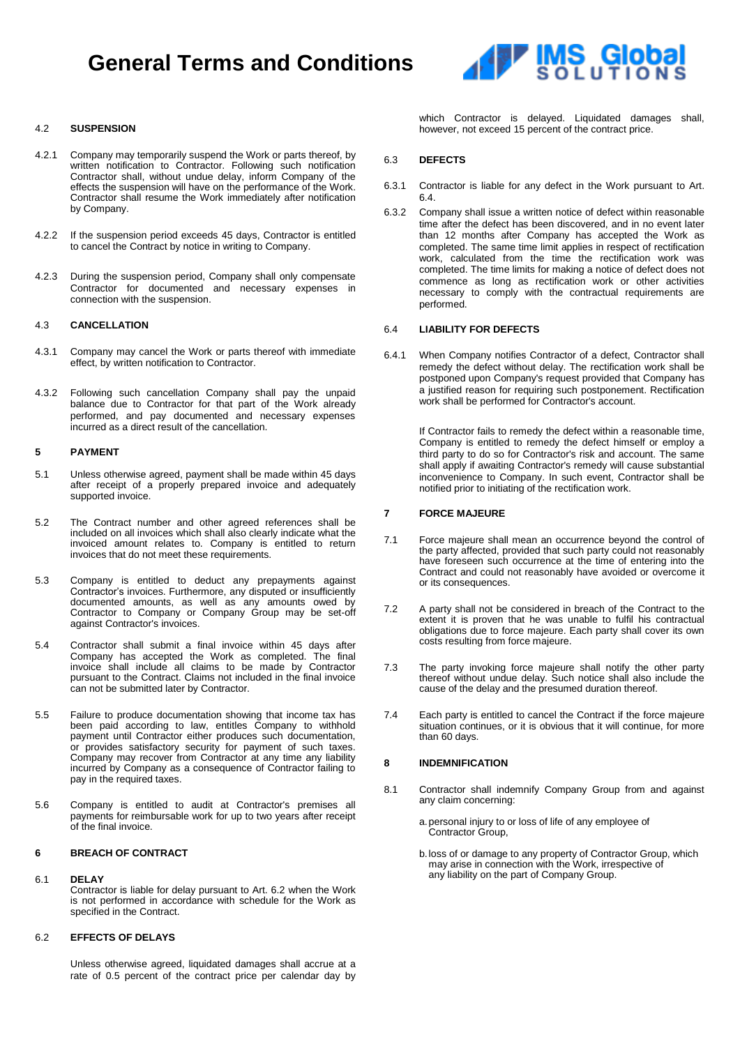# **General Terms and Conditions**



### 4.2 **SUSPENSION**

- 4.2.1 Company may temporarily suspend the Work or parts thereof, by written notification to Contractor. Following such notification Contractor shall, without undue delay, inform Company of the effects the suspension will have on the performance of the Work. Contractor shall resume the Work immediately after notification by Company.
- 4.2.2 If the suspension period exceeds 45 days, Contractor is entitled to cancel the Contract by notice in writing to Company.
- 4.2.3 During the suspension period, Company shall only compensate Contractor for documented and necessary expenses in connection with the suspension.

#### 4.3 **CANCELLATION**

- 4.3.1 Company may cancel the Work or parts thereof with immediate effect, by written notification to Contractor.
- 4.3.2 Following such cancellation Company shall pay the unpaid balance due to Contractor for that part of the Work already performed, and pay documented and necessary expenses incurred as a direct result of the cancellation.

#### **5 PAYMENT**

- 5.1 Unless otherwise agreed, payment shall be made within 45 days after receipt of a properly prepared invoice and adequately supported invoice.
- 5.2 The Contract number and other agreed references shall be included on all invoices which shall also clearly indicate what the invoiced amount relates to. Company is entitled to return invoices that do not meet these requirements.
- 5.3 Company is entitled to deduct any prepayments against Contractor's invoices. Furthermore, any disputed or insufficiently documented amounts, as well as any amounts owed by Contractor to Company or Company Group may be set-off against Contractor's invoices.
- 5.4 Contractor shall submit a final invoice within 45 days after Company has accepted the Work as completed. The final invoice shall include all claims to be made by Contractor pursuant to the Contract. Claims not included in the final invoice can not be submitted later by Contractor.
- 5.5 Failure to produce documentation showing that income tax has been paid according to law, entitles Company to withhold payment until Contractor either produces such documentation, or provides satisfactory security for payment of such taxes. Company may recover from Contractor at any time any liability incurred by Company as a consequence of Contractor failing to pay in the required taxes.
- 5.6 Company is entitled to audit at Contractor's premises all payments for reimbursable work for up to two years after receipt of the final invoice.

# **6 BREACH OF CONTRACT**

# 6.1 **DELAY**

Contractor is liable for delay pursuant to Art. 6.2 when the Work is not performed in accordance with schedule for the Work as specified in the Contract.

### 6.2 **EFFECTS OF DELAYS**

Unless otherwise agreed, liquidated damages shall accrue at a rate of 0.5 percent of the contract price per calendar day by which Contractor is delayed. Liquidated damages shall, however, not exceed 15 percent of the contract price.

### 6.3 **DEFECTS**

- 6.3.1 Contractor is liable for any defect in the Work pursuant to Art. 6.4.
- 6.3.2 Company shall issue a written notice of defect within reasonable time after the defect has been discovered, and in no event later than 12 months after Company has accepted the Work as completed. The same time limit applies in respect of rectification work, calculated from the time the rectification work was completed. The time limits for making a notice of defect does not commence as long as rectification work or other activities necessary to comply with the contractual requirements are performed.

#### 6.4 **LIABILITY FOR DEFECTS**

6.4.1 When Company notifies Contractor of a defect, Contractor shall remedy the defect without delay. The rectification work shall be postponed upon Company's request provided that Company has a justified reason for requiring such postponement. Rectification work shall be performed for Contractor's account.

> If Contractor fails to remedy the defect within a reasonable time, Company is entitled to remedy the defect himself or employ a third party to do so for Contractor's risk and account. The same shall apply if awaiting Contractor's remedy will cause substantial inconvenience to Company. In such event, Contractor shall be notified prior to initiating of the rectification work.

# **7 FORCE MAJEURE**

- 7.1 Force majeure shall mean an occurrence beyond the control of the party affected, provided that such party could not reasonably have foreseen such occurrence at the time of entering into the Contract and could not reasonably have avoided or overcome it or its consequences.
- 7.2 A party shall not be considered in breach of the Contract to the extent it is proven that he was unable to fulfil his contractual obligations due to force majeure. Each party shall cover its own costs resulting from force majeure.
- 7.3 The party invoking force majeure shall notify the other party thereof without undue delay. Such notice shall also include the cause of the delay and the presumed duration thereof.
- 7.4 Each party is entitled to cancel the Contract if the force majeure situation continues, or it is obvious that it will continue, for more than 60 days.

#### **8 INDEMNIFICATION**

- 8.1 Contractor shall indemnify Company Group from and against any claim concerning:
	- a.personal injury to or loss of life of any employee of Contractor Group,
	- b.loss of or damage to any property of Contractor Group, which may arise in connection with the Work, irrespective of any liability on the part of Company Group.